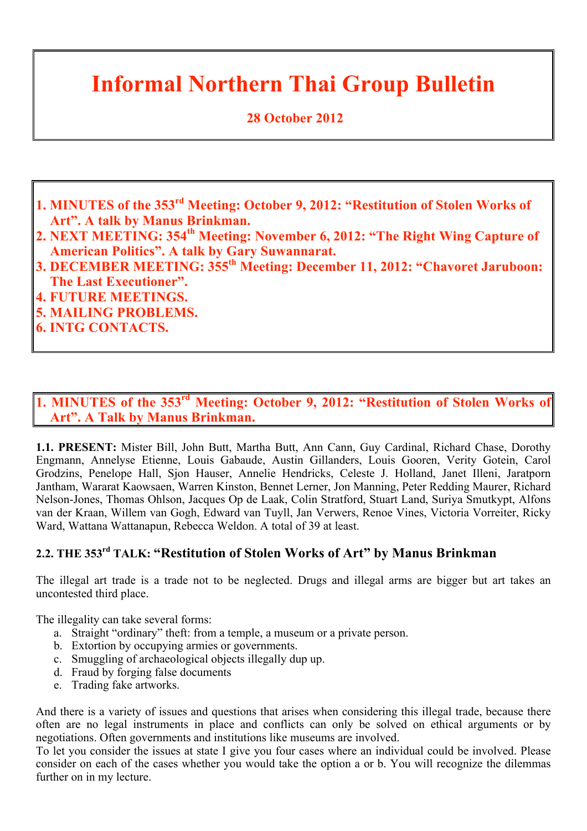# **Informal Northern Thai Group Bulletin**

# **28 October 2012**

- **1. MINUTES of the 353rd Meeting: October 9, 2012: "Restitution of Stolen Works of Art". A talk by Manus Brinkman.**
- **2. NEXT MEETING: 354th Meeting: November 6, 2012: "The Right Wing Capture of American Politics". A talk by Gary Suwannarat.**
- **3. DECEMBER MEETING: 355th Meeting: December 11, 2012: "Chavoret Jaruboon: The Last Executioner".**
- **4. FUTURE MEETINGS.**
- **5. MAILING PROBLEMS.**
- **6. INTG CONTACTS.**

# **1. MINUTES of the 353rd Meeting: October 9, 2012: "Restitution of Stolen Works of Art". A Talk by Manus Brinkman.**

**1.1. PRESENT:** Mister Bill, John Butt, Martha Butt, Ann Cann, Guy Cardinal, Richard Chase, Dorothy Engmann, Annelyse Etienne, Louis Gabaude, Austin Gillanders, Louis Gooren, Verity Gotein, Carol Grodzins, Penelope Hall, Sjon Hauser, Annelie Hendricks, Celeste J. Holland, Janet Illeni, Jaratporn Jantham, Wararat Kaowsaen, Warren Kinston, Bennet Lerner, Jon Manning, Peter Redding Maurer, Richard Nelson-Jones, Thomas Ohlson, Jacques Op de Laak, Colin Stratford, Stuart Land, Suriya Smutkypt, Alfons van der Kraan, Willem van Gogh, Edward van Tuyll, Jan Verwers, Renoe Vines, Victoria Vorreiter, Ricky Ward, Wattana Wattanapun, Rebecca Weldon. A total of 39 at least.

# **2.2. THE 353rd TALK: "Restitution of Stolen Works of Art" by Manus Brinkman**

The illegal art trade is a trade not to be neglected. Drugs and illegal arms are bigger but art takes an uncontested third place.

The illegality can take several forms:

- a. Straight "ordinary" theft: from a temple, a museum or a private person.
- b. Extortion by occupying armies or governments.
- c. Smuggling of archaeological objects illegally dup up.
- d. Fraud by forging false documents
- e. Trading fake artworks.

And there is a variety of issues and questions that arises when considering this illegal trade, because there often are no legal instruments in place and conflicts can only be solved on ethical arguments or by negotiations. Often governments and institutions like museums are involved.

To let you consider the issues at state I give you four cases where an individual could be involved. Please consider on each of the cases whether you would take the option a or b. You will recognize the dilemmas further on in my lecture.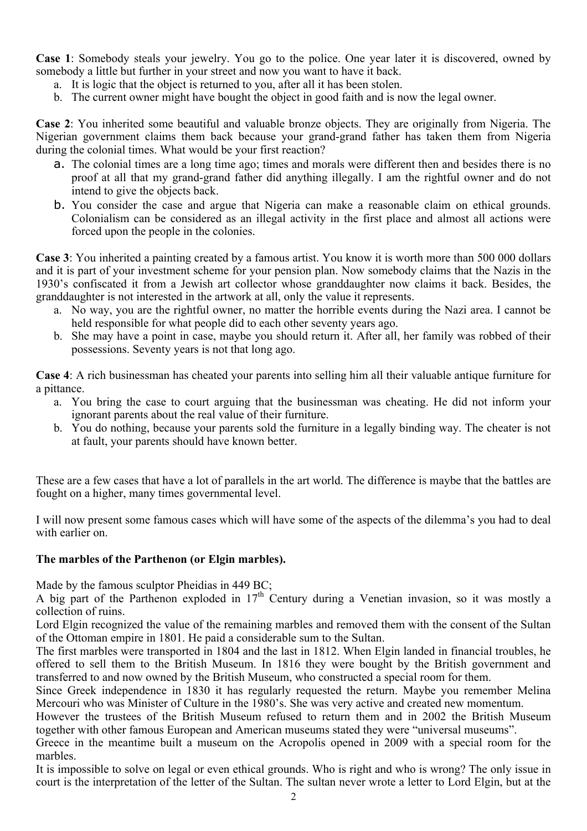**Case 1**: Somebody steals your jewelry. You go to the police. One year later it is discovered, owned by somebody a little but further in your street and now you want to have it back.

- a. It is logic that the object is returned to you, after all it has been stolen.
- b. The current owner might have bought the object in good faith and is now the legal owner.

**Case 2**: You inherited some beautiful and valuable bronze objects. They are originally from Nigeria. The Nigerian government claims them back because your grand-grand father has taken them from Nigeria during the colonial times. What would be your first reaction?

- a. The colonial times are a long time ago; times and morals were different then and besides there is no proof at all that my grand-grand father did anything illegally. I am the rightful owner and do not intend to give the objects back.
- b. You consider the case and argue that Nigeria can make a reasonable claim on ethical grounds. Colonialism can be considered as an illegal activity in the first place and almost all actions were forced upon the people in the colonies.

**Case 3**: You inherited a painting created by a famous artist. You know it is worth more than 500 000 dollars and it is part of your investment scheme for your pension plan. Now somebody claims that the Nazis in the 1930's confiscated it from a Jewish art collector whose granddaughter now claims it back. Besides, the granddaughter is not interested in the artwork at all, only the value it represents.

- a. No way, you are the rightful owner, no matter the horrible events during the Nazi area. I cannot be held responsible for what people did to each other seventy years ago.
- b. She may have a point in case, maybe you should return it. After all, her family was robbed of their possessions. Seventy years is not that long ago.

**Case 4**: A rich businessman has cheated your parents into selling him all their valuable antique furniture for a pittance.

- a. You bring the case to court arguing that the businessman was cheating. He did not inform your ignorant parents about the real value of their furniture.
- b. You do nothing, because your parents sold the furniture in a legally binding way. The cheater is not at fault, your parents should have known better.

These are a few cases that have a lot of parallels in the art world. The difference is maybe that the battles are fought on a higher, many times governmental level.

I will now present some famous cases which will have some of the aspects of the dilemma's you had to deal with earlier on.

#### **The marbles of the Parthenon (or Elgin marbles).**

Made by the famous sculptor Pheidias in 449 BC;

A big part of the Parthenon exploded in  $17<sup>th</sup>$  Century during a Venetian invasion, so it was mostly a collection of ruins.

Lord Elgin recognized the value of the remaining marbles and removed them with the consent of the Sultan of the Ottoman empire in 1801. He paid a considerable sum to the Sultan.

The first marbles were transported in 1804 and the last in 1812. When Elgin landed in financial troubles, he offered to sell them to the British Museum. In 1816 they were bought by the British government and transferred to and now owned by the British Museum, who constructed a special room for them.

Since Greek independence in 1830 it has regularly requested the return. Maybe you remember Melina Mercouri who was Minister of Culture in the 1980's. She was very active and created new momentum.

However the trustees of the British Museum refused to return them and in 2002 the British Museum together with other famous European and American museums stated they were "universal museums".

Greece in the meantime built a museum on the Acropolis opened in 2009 with a special room for the marbles.

It is impossible to solve on legal or even ethical grounds. Who is right and who is wrong? The only issue in court is the interpretation of the letter of the Sultan. The sultan never wrote a letter to Lord Elgin, but at the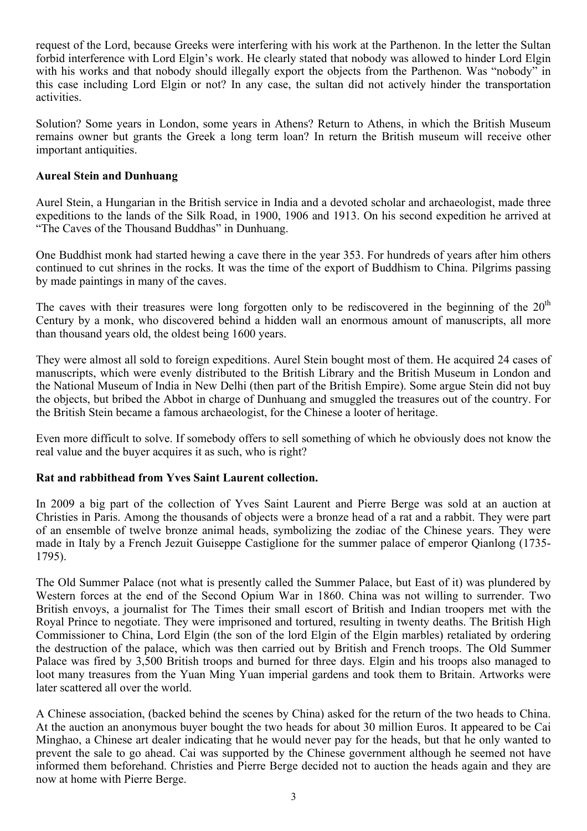request of the Lord, because Greeks were interfering with his work at the Parthenon. In the letter the Sultan forbid interference with Lord Elgin's work. He clearly stated that nobody was allowed to hinder Lord Elgin with his works and that nobody should illegally export the objects from the Parthenon. Was "nobody" in this case including Lord Elgin or not? In any case, the sultan did not actively hinder the transportation activities.

Solution? Some years in London, some years in Athens? Return to Athens, in which the British Museum remains owner but grants the Greek a long term loan? In return the British museum will receive other important antiquities.

#### **Aureal Stein and Dunhuang**

Aurel Stein, a Hungarian in the British service in India and a devoted scholar and archaeologist, made three expeditions to the lands of the Silk Road, in 1900, 1906 and 1913. On his second expedition he arrived at "The Caves of the Thousand Buddhas" in Dunhuang.

One Buddhist monk had started hewing a cave there in the year 353. For hundreds of years after him others continued to cut shrines in the rocks. It was the time of the export of Buddhism to China. Pilgrims passing by made paintings in many of the caves.

The caves with their treasures were long forgotten only to be rediscovered in the beginning of the  $20<sup>th</sup>$ Century by a monk, who discovered behind a hidden wall an enormous amount of manuscripts, all more than thousand years old, the oldest being 1600 years.

They were almost all sold to foreign expeditions. Aurel Stein bought most of them. He acquired 24 cases of manuscripts, which were evenly distributed to the British Library and the British Museum in London and the National Museum of India in New Delhi (then part of the British Empire). Some argue Stein did not buy the objects, but bribed the Abbot in charge of Dunhuang and smuggled the treasures out of the country. For the British Stein became a famous archaeologist, for the Chinese a looter of heritage.

Even more difficult to solve. If somebody offers to sell something of which he obviously does not know the real value and the buyer acquires it as such, who is right?

#### **Rat and rabbithead from Yves Saint Laurent collection.**

In 2009 a big part of the collection of Yves Saint Laurent and Pierre Berge was sold at an auction at Christies in Paris. Among the thousands of objects were a bronze head of a rat and a rabbit. They were part of an ensemble of twelve bronze animal heads, symbolizing the zodiac of the Chinese years. They were made in Italy by a French Jezuit Guiseppe Castiglione for the summer palace of emperor Qianlong (1735- 1795).

The Old Summer Palace (not what is presently called the Summer Palace, but East of it) was plundered by Western forces at the end of the Second Opium War in 1860. China was not willing to surrender. Two British envoys, a journalist for The Times their small escort of British and Indian troopers met with the Royal Prince to negotiate. They were imprisoned and tortured, resulting in twenty deaths. The British High Commissioner to China, Lord Elgin (the son of the lord Elgin of the Elgin marbles) retaliated by ordering the destruction of the palace, which was then carried out by British and French troops. The Old Summer Palace was fired by 3,500 British troops and burned for three days. Elgin and his troops also managed to loot many treasures from the Yuan Ming Yuan imperial gardens and took them to Britain. Artworks were later scattered all over the world.

A Chinese association, (backed behind the scenes by China) asked for the return of the two heads to China. At the auction an anonymous buyer bought the two heads for about 30 million Euros. It appeared to be Cai Minghao, a Chinese art dealer indicating that he would never pay for the heads, but that he only wanted to prevent the sale to go ahead. Cai was supported by the Chinese government although he seemed not have informed them beforehand. Christies and Pierre Berge decided not to auction the heads again and they are now at home with Pierre Berge.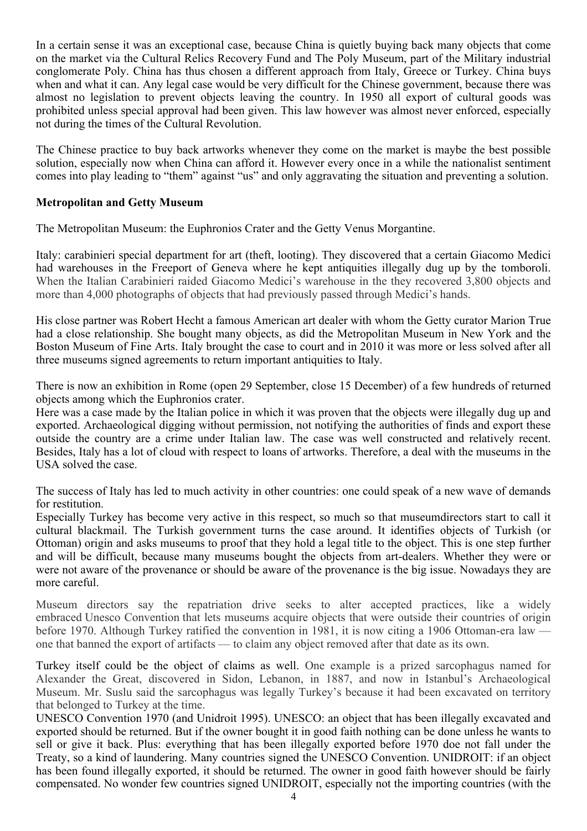In a certain sense it was an exceptional case, because China is quietly buying back many objects that come on the market via the Cultural Relics Recovery Fund and The Poly Museum, part of the Military industrial conglomerate Poly. China has thus chosen a different approach from Italy, Greece or Turkey. China buys when and what it can. Any legal case would be very difficult for the Chinese government, because there was almost no legislation to prevent objects leaving the country. In 1950 all export of cultural goods was prohibited unless special approval had been given. This law however was almost never enforced, especially not during the times of the Cultural Revolution.

The Chinese practice to buy back artworks whenever they come on the market is maybe the best possible solution, especially now when China can afford it. However every once in a while the nationalist sentiment comes into play leading to "them" against "us" and only aggravating the situation and preventing a solution.

#### **Metropolitan and Getty Museum**

The Metropolitan Museum: the Euphronios Crater and the Getty Venus Morgantine.

Italy: carabinieri special department for art (theft, looting). They discovered that a certain Giacomo Medici had warehouses in the Freeport of Geneva where he kept antiquities illegally dug up by the tomboroli. When the Italian Carabinieri raided Giacomo Medici's warehouse in the they recovered 3,800 objects and more than 4,000 photographs of objects that had previously passed through Medici's hands.

His close partner was Robert Hecht a famous American art dealer with whom the Getty curator Marion True had a close relationship. She bought many objects, as did the Metropolitan Museum in New York and the Boston Museum of Fine Arts. Italy brought the case to court and in 2010 it was more or less solved after all three museums signed agreements to return important antiquities to Italy.

There is now an exhibition in Rome (open 29 September, close 15 December) of a few hundreds of returned objects among which the Euphronios crater.

Here was a case made by the Italian police in which it was proven that the objects were illegally dug up and exported. Archaeological digging without permission, not notifying the authorities of finds and export these outside the country are a crime under Italian law. The case was well constructed and relatively recent. Besides, Italy has a lot of cloud with respect to loans of artworks. Therefore, a deal with the museums in the USA solved the case.

The success of Italy has led to much activity in other countries: one could speak of a new wave of demands for restitution.

Especially Turkey has become very active in this respect, so much so that museumdirectors start to call it cultural blackmail. The Turkish government turns the case around. It identifies objects of Turkish (or Ottoman) origin and asks museums to proof that they hold a legal title to the object. This is one step further and will be difficult, because many museums bought the objects from art-dealers. Whether they were or were not aware of the provenance or should be aware of the provenance is the big issue. Nowadays they are more careful.

Museum directors say the repatriation drive seeks to alter accepted practices, like a widely embraced Unesco Convention that lets museums acquire objects that were outside their countries of origin before 1970. Although Turkey ratified the convention in 1981, it is now citing a 1906 Ottoman-era law one that banned the export of artifacts — to claim any object removed after that date as its own.

Turkey itself could be the object of claims as well. One example is a prized sarcophagus named for Alexander the Great, discovered in Sidon, Lebanon, in 1887, and now in Istanbul's Archaeological Museum. Mr. Suslu said the sarcophagus was legally Turkey's because it had been excavated on territory that belonged to Turkey at the time.

UNESCO Convention 1970 (and Unidroit 1995). UNESCO: an object that has been illegally excavated and exported should be returned. But if the owner bought it in good faith nothing can be done unless he wants to sell or give it back. Plus: everything that has been illegally exported before 1970 doe not fall under the Treaty, so a kind of laundering. Many countries signed the UNESCO Convention. UNIDROIT: if an object has been found illegally exported, it should be returned. The owner in good faith however should be fairly compensated. No wonder few countries signed UNIDROIT, especially not the importing countries (with the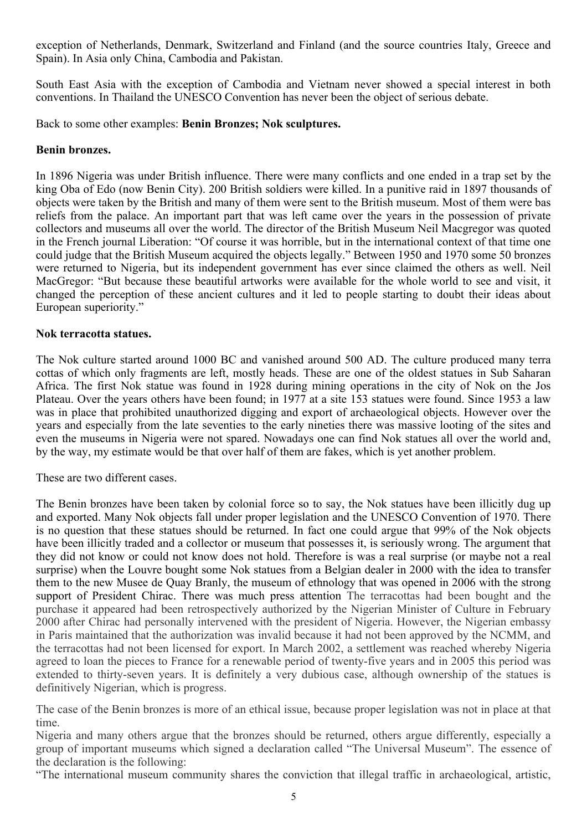exception of Netherlands, Denmark, Switzerland and Finland (and the source countries Italy, Greece and Spain). In Asia only China, Cambodia and Pakistan.

South East Asia with the exception of Cambodia and Vietnam never showed a special interest in both conventions. In Thailand the UNESCO Convention has never been the object of serious debate.

Back to some other examples: **Benin Bronzes; Nok sculptures.**

#### **Benin bronzes.**

In 1896 Nigeria was under British influence. There were many conflicts and one ended in a trap set by the king Oba of Edo (now Benin City). 200 British soldiers were killed. In a punitive raid in 1897 thousands of objects were taken by the British and many of them were sent to the British museum. Most of them were bas reliefs from the palace. An important part that was left came over the years in the possession of private collectors and museums all over the world. The director of the British Museum Neil Macgregor was quoted in the French journal Liberation: "Of course it was horrible, but in the international context of that time one could judge that the British Museum acquired the objects legally." Between 1950 and 1970 some 50 bronzes were returned to Nigeria, but its independent government has ever since claimed the others as well. Neil MacGregor: "But because these beautiful artworks were available for the whole world to see and visit, it changed the perception of these ancient cultures and it led to people starting to doubt their ideas about European superiority."

#### **Nok terracotta statues.**

The Nok culture started around 1000 BC and vanished around 500 AD. The culture produced many terra cottas of which only fragments are left, mostly heads. These are one of the oldest statues in Sub Saharan Africa. The first Nok statue was found in 1928 during mining operations in the city of Nok on the Jos Plateau. Over the years others have been found; in 1977 at a site 153 statues were found. Since 1953 a law was in place that prohibited unauthorized digging and export of archaeological objects. However over the years and especially from the late seventies to the early nineties there was massive looting of the sites and even the museums in Nigeria were not spared. Nowadays one can find Nok statues all over the world and, by the way, my estimate would be that over half of them are fakes, which is yet another problem.

These are two different cases.

The Benin bronzes have been taken by colonial force so to say, the Nok statues have been illicitly dug up and exported. Many Nok objects fall under proper legislation and the UNESCO Convention of 1970. There is no question that these statues should be returned. In fact one could argue that 99% of the Nok objects have been illicitly traded and a collector or museum that possesses it, is seriously wrong. The argument that they did not know or could not know does not hold. Therefore is was a real surprise (or maybe not a real surprise) when the Louvre bought some Nok statues from a Belgian dealer in 2000 with the idea to transfer them to the new Musee de Quay Branly, the museum of ethnology that was opened in 2006 with the strong support of President Chirac. There was much press attention The terracottas had been bought and the purchase it appeared had been retrospectively authorized by the Nigerian Minister of Culture in February 2000 after Chirac had personally intervened with the president of Nigeria. However, the Nigerian embassy in Paris maintained that the authorization was invalid because it had not been approved by the NCMM, and the terracottas had not been licensed for export. In March 2002, a settlement was reached whereby Nigeria agreed to loan the pieces to France for a renewable period of twenty-five years and in 2005 this period was extended to thirty-seven years. It is definitely a very dubious case, although ownership of the statues is definitively Nigerian, which is progress.

The case of the Benin bronzes is more of an ethical issue, because proper legislation was not in place at that time.

Nigeria and many others argue that the bronzes should be returned, others argue differently, especially a group of important museums which signed a declaration called "The Universal Museum". The essence of the declaration is the following:

"The international museum community shares the conviction that illegal traffic in archaeological, artistic,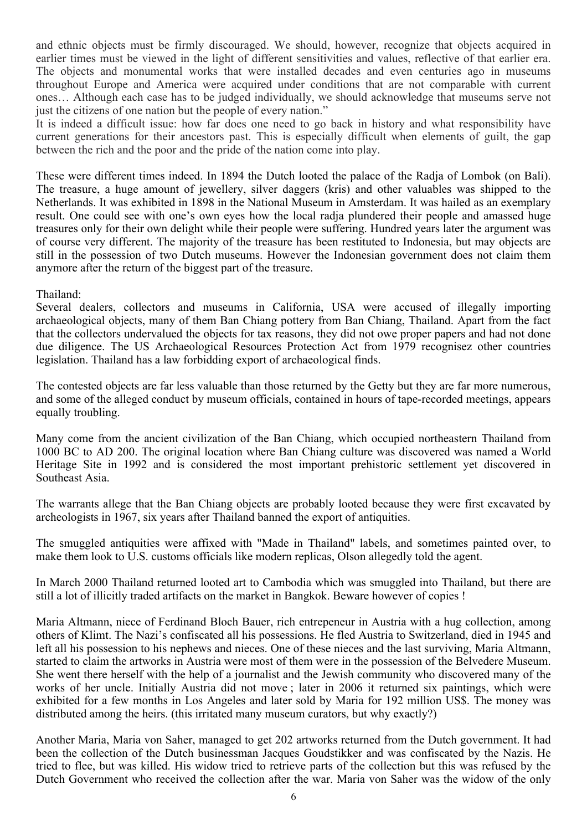and ethnic objects must be firmly discouraged. We should, however, recognize that objects acquired in earlier times must be viewed in the light of different sensitivities and values, reflective of that earlier era. The objects and monumental works that were installed decades and even centuries ago in museums throughout Europe and America were acquired under conditions that are not comparable with current ones… Although each case has to be judged individually, we should acknowledge that museums serve not just the citizens of one nation but the people of every nation."

It is indeed a difficult issue: how far does one need to go back in history and what responsibility have current generations for their ancestors past. This is especially difficult when elements of guilt, the gap between the rich and the poor and the pride of the nation come into play.

These were different times indeed. In 1894 the Dutch looted the palace of the Radja of Lombok (on Bali). The treasure, a huge amount of jewellery, silver daggers (kris) and other valuables was shipped to the Netherlands. It was exhibited in 1898 in the National Museum in Amsterdam. It was hailed as an exemplary result. One could see with one's own eyes how the local radja plundered their people and amassed huge treasures only for their own delight while their people were suffering. Hundred years later the argument was of course very different. The majority of the treasure has been restituted to Indonesia, but may objects are still in the possession of two Dutch museums. However the Indonesian government does not claim them anymore after the return of the biggest part of the treasure.

#### Thailand:

Several dealers, collectors and museums in California, USA were accused of illegally importing archaeological objects, many of them Ban Chiang pottery from Ban Chiang, Thailand. Apart from the fact that the collectors undervalued the objects for tax reasons, they did not owe proper papers and had not done due diligence. The US Archaeological Resources Protection Act from 1979 recognisez other countries legislation. Thailand has a law forbidding export of archaeological finds.

The contested objects are far less valuable than those returned by the Getty but they are far more numerous, and some of the alleged conduct by museum officials, contained in hours of tape-recorded meetings, appears equally troubling.

Many come from the ancient civilization of the Ban Chiang, which occupied northeastern Thailand from 1000 BC to AD 200. The original location where Ban Chiang culture was discovered was named a World Heritage Site in 1992 and is considered the most important prehistoric settlement yet discovered in Southeast Asia.

The warrants allege that the Ban Chiang objects are probably looted because they were first excavated by archeologists in 1967, six years after Thailand banned the export of antiquities.

The smuggled antiquities were affixed with "Made in Thailand" labels, and sometimes painted over, to make them look to U.S. customs officials like modern replicas. Olson allegedly told the agent.

In March 2000 Thailand returned looted art to Cambodia which was smuggled into Thailand, but there are still a lot of illicitly traded artifacts on the market in Bangkok. Beware however of copies !

Maria Altmann, niece of Ferdinand Bloch Bauer, rich entrepeneur in Austria with a hug collection, among others of Klimt. The Nazi's confiscated all his possessions. He fled Austria to Switzerland, died in 1945 and left all his possession to his nephews and nieces. One of these nieces and the last surviving, Maria Altmann, started to claim the artworks in Austria were most of them were in the possession of the Belvedere Museum. She went there herself with the help of a journalist and the Jewish community who discovered many of the works of her uncle. Initially Austria did not move ; later in 2006 it returned six paintings, which were exhibited for a few months in Los Angeles and later sold by Maria for 192 million US\$. The money was distributed among the heirs. (this irritated many museum curators, but why exactly?)

Another Maria, Maria von Saher, managed to get 202 artworks returned from the Dutch government. It had been the collection of the Dutch businessman Jacques Goudstikker and was confiscated by the Nazis. He tried to flee, but was killed. His widow tried to retrieve parts of the collection but this was refused by the Dutch Government who received the collection after the war. Maria von Saher was the widow of the only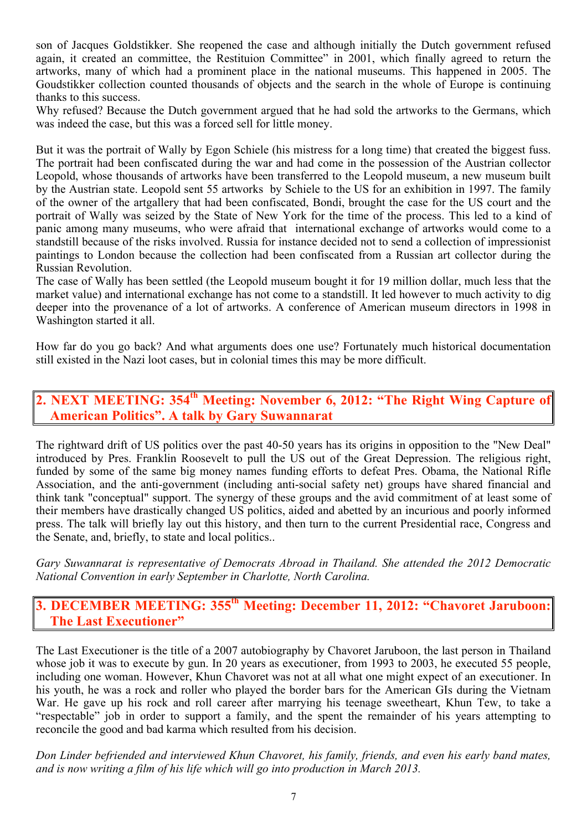son of Jacques Goldstikker. She reopened the case and although initially the Dutch government refused again, it created an committee, the Restituion Committee" in 2001, which finally agreed to return the artworks, many of which had a prominent place in the national museums. This happened in 2005. The Goudstikker collection counted thousands of objects and the search in the whole of Europe is continuing thanks to this success.

Why refused? Because the Dutch government argued that he had sold the artworks to the Germans, which was indeed the case, but this was a forced sell for little money.

But it was the portrait of Wally by Egon Schiele (his mistress for a long time) that created the biggest fuss. The portrait had been confiscated during the war and had come in the possession of the Austrian collector Leopold, whose thousands of artworks have been transferred to the Leopold museum, a new museum built by the Austrian state. Leopold sent 55 artworks by Schiele to the US for an exhibition in 1997. The family of the owner of the artgallery that had been confiscated, Bondi, brought the case for the US court and the portrait of Wally was seized by the State of New York for the time of the process. This led to a kind of panic among many museums, who were afraid that international exchange of artworks would come to a standstill because of the risks involved. Russia for instance decided not to send a collection of impressionist paintings to London because the collection had been confiscated from a Russian art collector during the Russian Revolution.

The case of Wally has been settled (the Leopold museum bought it for 19 million dollar, much less that the market value) and international exchange has not come to a standstill. It led however to much activity to dig deeper into the provenance of a lot of artworks. A conference of American museum directors in 1998 in Washington started it all.

How far do you go back? And what arguments does one use? Fortunately much historical documentation still existed in the Nazi loot cases, but in colonial times this may be more difficult.

# **2. NEXT MEETING: 354th Meeting: November 6, 2012: "The Right Wing Capture of American Politics". A talk by Gary Suwannarat**

The rightward drift of US politics over the past 40-50 years has its origins in opposition to the "New Deal" introduced by Pres. Franklin Roosevelt to pull the US out of the Great Depression. The religious right, funded by some of the same big money names funding efforts to defeat Pres. Obama, the National Rifle Association, and the anti-government (including anti-social safety net) groups have shared financial and think tank "conceptual" support. The synergy of these groups and the avid commitment of at least some of their members have drastically changed US politics, aided and abetted by an incurious and poorly informed press. The talk will briefly lay out this history, and then turn to the current Presidential race, Congress and the Senate, and, briefly, to state and local politics..

*Gary Suwannarat is representative of Democrats Abroad in Thailand. She attended the 2012 Democratic National Convention in early September in Charlotte, North Carolina.*

**3. DECEMBER MEETING: 355th Meeting: December 11, 2012: "Chavoret Jaruboon: The Last Executioner"**

The Last Executioner is the title of a 2007 autobiography by Chavoret Jaruboon, the last person in Thailand whose job it was to execute by gun. In 20 years as executioner, from 1993 to 2003, he executed 55 people, including one woman. However, Khun Chavoret was not at all what one might expect of an executioner. In his youth, he was a rock and roller who played the border bars for the American GIs during the Vietnam War. He gave up his rock and roll career after marrying his teenage sweetheart, Khun Tew, to take a "respectable" job in order to support a family, and the spent the remainder of his years attempting to reconcile the good and bad karma which resulted from his decision.

*Don Linder befriended and interviewed Khun Chavoret, his family, friends, and even his early band mates, and is now writing a film of his life which will go into production in March 2013.*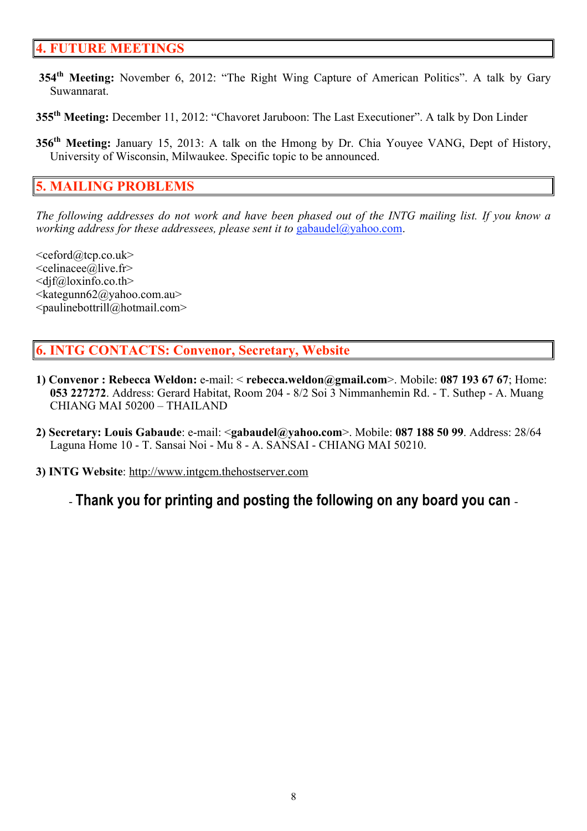### **4. FUTURE MEETINGS**

- **354th Meeting:** November 6, 2012: "The Right Wing Capture of American Politics". A talk by Gary Suwannarat.
- **355th Meeting:** December 11, 2012: "Chavoret Jaruboon: The Last Executioner". A talk by Don Linder
- **356<sup>th</sup> Meeting:** January 15, 2013: A talk on the Hmong by Dr. Chia Youyee VANG, Dept of History, University of Wisconsin, Milwaukee. Specific topic to be announced.

#### **5. MAILING PROBLEMS**

*The following addresses do not work and have been phased out of the INTG mailing list. If you know a working address for these addressees, please sent it to gabaudel@yahoo.com.* 

 $\leq$ ceford@tcp.co.uk>  $\leq$ celinacee@live.fr>  $\langle \text{d} \rangle$  f(*a*) loxinfo.co.th  $\langle k \rangle$ ategunn $62$ @yahoo.com.au  $\le$ paulinebottrill@hotmail.com>

#### **6. INTG CONTACTS: Convenor, Secretary, Website**

- **1) Convenor : Rebecca Weldon:** e-mail: < **rebecca.weldon@gmail.com**>. Mobile: **087 193 67 67**; Home: **053 227272**. Address: Gerard Habitat, Room 204 - 8/2 Soi 3 Nimmanhemin Rd. - T. Suthep - A. Muang CHIANG MAI 50200 – THAILAND
- **2) Secretary: Louis Gabaude**: e-mail: <**gabaudel@yahoo.com**>. Mobile: **087 188 50 99**. Address: 28/64 Laguna Home 10 - T. Sansai Noi - Mu 8 - A. SANSAI - CHIANG MAI 50210.
- **3) INTG Website**: http://www.intgcm.thehostserver.com

- **Thank you for printing and posting the following on any board you can** -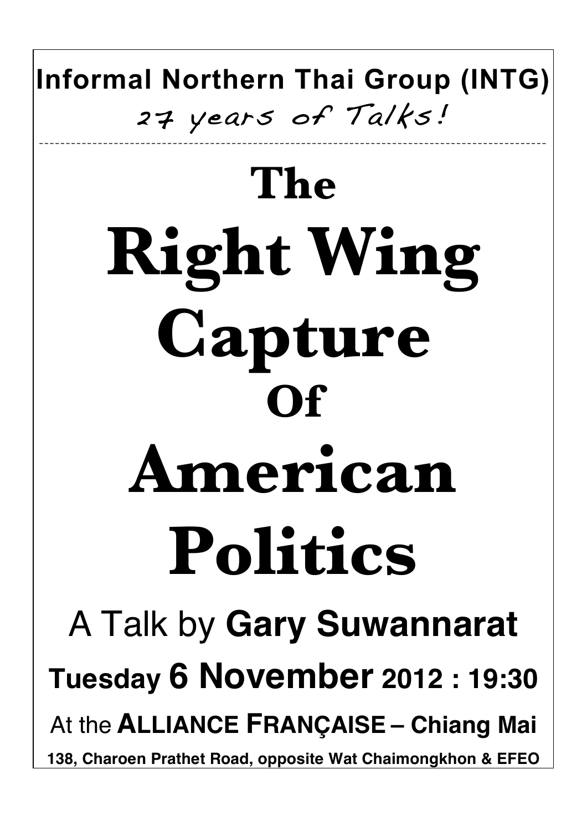